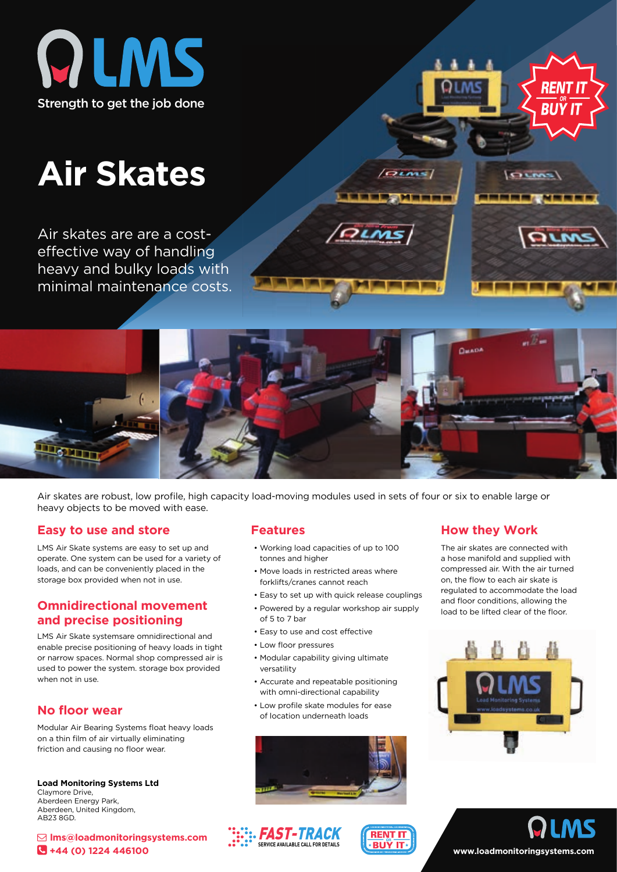

# **Air Skates**

Air skates are are a costeffective way of handling heavy and bulky loads with minimal maintenance costs.



 $(Qunz)$ 

Air skates are robust, low profile, high capacity load-moving modules used in sets of four or six to enable large or heavy objects to be moved with ease.

#### **Easy to use and store**

LMS Air Skate systems are easy to set up and operate. One system can be used for a variety of loads, and can be conveniently placed in the storage box provided when not in use.

#### **Omnidirectional movement and precise positioning**

LMS Air Skate systemsare omnidirectional and enable precise positioning of heavy loads in tight or narrow spaces. Normal shop compressed air is used to power the system. storage box provided when not in use.

#### **No floor wear**

Modular Air Bearing Systems float heavy loads on a thin film of air virtually eliminating friction and causing no floor wear.

**Load Monitoring Systems Ltd** Claymore Drive, Aberdeen Energy Park, Aberdeen, United Kingdom, AB23 8GD.

 **lms@loadmonitoringsystems.com +44 (0) 1224 446100**

- Working load capacities of up to 100 tonnes and higher
- Move loads in restricted areas where forklifts/cranes cannot reach
- Easy to set up with quick release couplings
- Powered by a regular workshop air supply of 5 to 7 bar
- Easy to use and cost effective
- Low floor pressures
- Modular capability giving ultimate versatility
- Accurate and repeatable positioning with omni-directional capability
- Low profile skate modules for ease of location underneath loads



### **Features How they Work**

The air skates are connected with a hose manifold and supplied with compressed air. With the air turned on, the flow to each air skate is regulated to accommodate the load and floor conditions, allowing the load to be lifted clear of the floor.

RIJY

OLMS





# **www.loadmonitoringsystems.com**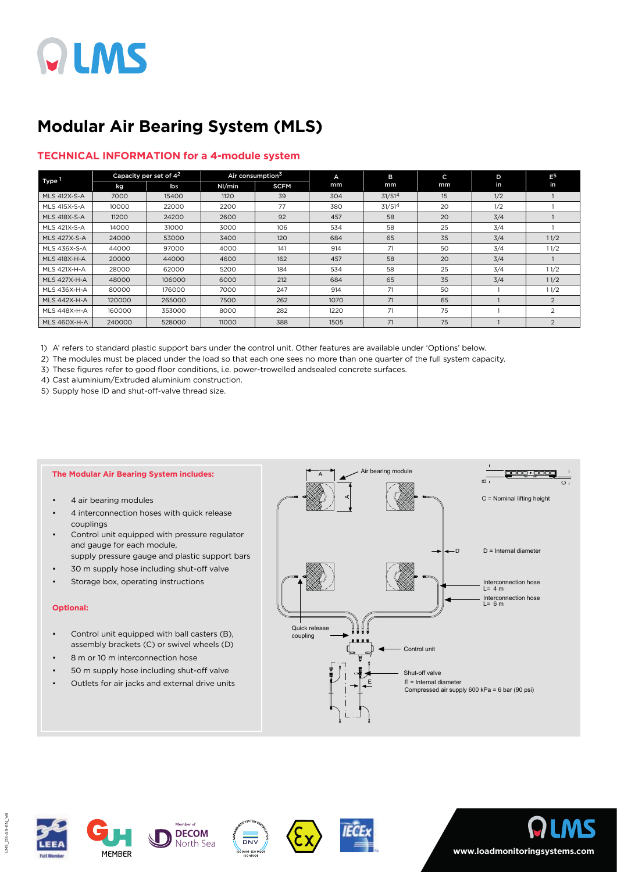

## **Modular Air Bearing System (MLS)**

#### **TECHNICAL INFORMATION for a 4-module system**

| Type 1              | Capacity per set of 4 <sup>2</sup> |        | Air consumption <sup>3</sup> |             | A    | B                  | c  | D   | $E^5$          |
|---------------------|------------------------------------|--------|------------------------------|-------------|------|--------------------|----|-----|----------------|
|                     | kg                                 | lbs    | Nl/min                       | <b>SCFM</b> | mm   | mm                 | mm | in  | in             |
| <b>MLS 412X-S-A</b> | 7000                               | 15400  | 1120                         | 39          | 304  | 31/51 <sup>4</sup> | 15 | 1/2 |                |
| <b>MLS 415X-S-A</b> | 10000                              | 22000  | 2200                         | 77          | 380  | 31/51 <sup>4</sup> | 20 | 1/2 |                |
| <b>MLS 418X-S-A</b> | 11200                              | 24200  | 2600                         | 92          | 457  | 58                 | 20 | 3/4 |                |
| <b>MLS 421X-S-A</b> | 14000                              | 31000  | 3000                         | 106         | 534  | 58                 | 25 | 3/4 |                |
| <b>MLS 427X-S-A</b> | 24000                              | 53000  | 3400                         | 120         | 684  | 65                 | 35 | 3/4 | 11/2           |
| MLS 436X-S-A        | 44000                              | 97000  | 4000                         | 141         | 914  | 71                 | 50 | 3/4 | 11/2           |
| <b>MLS 418X-H-A</b> | 20000                              | 44000  | 4600                         | 162         | 457  | 58                 | 20 | 3/4 |                |
| <b>MLS 421X-H-A</b> | 28000                              | 62000  | 5200                         | 184         | 534  | 58                 | 25 | 3/4 | 11/2           |
| <b>MLS 427X-H-A</b> | 48000                              | 106000 | 6000                         | 212         | 684  | 65                 | 35 | 3/4 | 11/2           |
| <b>MLS 436X-H-A</b> | 80000                              | 176000 | 7000                         | 247         | 914  | 71                 | 50 |     | 11/2           |
| <b>MLS 442X-H-A</b> | 120000                             | 265000 | 7500                         | 262         | 1070 | 71                 | 65 |     | $\mathcal{P}$  |
| <b>MLS 448X-H-A</b> | 160000                             | 353000 | 8000                         | 282         | 1220 | 71                 | 75 |     | $\overline{2}$ |
| <b>MLS 460X-H-A</b> | 240000                             | 528000 | 11000                        | 388         | 1505 | 71                 | 75 |     | 2              |

1) A' refers to standard plastic support bars under the control unit. Other features are available under 'Options' below.

2) The modules must be placed under the load so that each one sees no more than one quarter of the full system capacity.

3) These figures refer to good floor conditions, i.e. power-trowelled andsealed concrete surfaces.

4) Cast aluminium/Extruded aluminium construction.

5) Supply hose ID and shut-off-valve thread size.

#### **The Modular Air Bearing System includes:**

- 4 air bearing modules
- 4 interconnection hoses with quick release couplings
- Control unit equipped with pressure regulator and gauge for each module, supply pressure gauge and plastic support bars
- 30 m supply hose including shut-off valve
- Storage box, operating instructions

#### **Optional:**

- Control unit equipped with ball casters (B), assembly brackets (C) or swivel wheels (D)
- 8 m or 10 m interconnection hose
- 50 m supply hose including shut-off valve
- Outlets for air jacks and external drive units